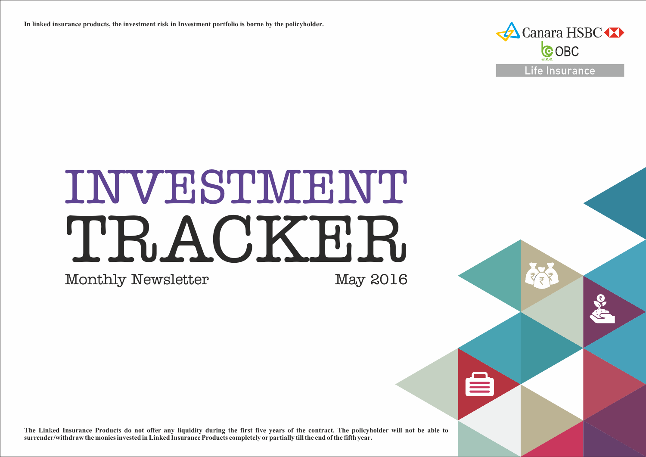**In linked insurance products, the investment risk in Investment portfolio is borne by the policyholder.**



# INVESTMENT TRACKER.

Monthly Newsletter

May 2016

**The Linked Insurance Products do not offer any liquidity during the first five years of the contract. The policyholder will not be able to surrender/withdraw the monies invested in Linked Insurance Products completely or partially till the end of the fifth year.**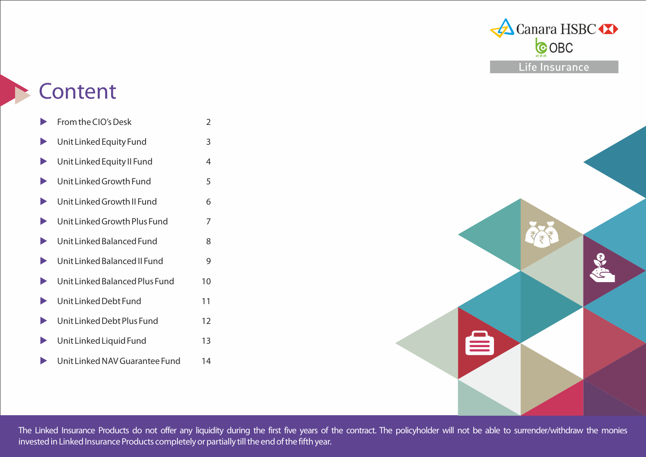

# **Content**

|                       | From the CIO's Desk            | 2  |
|-----------------------|--------------------------------|----|
|                       | Unit Linked Equity Fund        | 3  |
| $\blacktriangleright$ | Unit Linked Equity II Fund     | 4  |
| $\blacktriangleright$ | Unit Linked Growth Fund        | 5  |
| $\blacktriangleright$ | Unit Linked Growth II Fund     | 6  |
| $\blacktriangleright$ | Unit Linked Growth Plus Fund   | 7  |
| $\blacktriangleright$ | Unit Linked Balanced Fund      | 8  |
| $\blacktriangleright$ | Unit Linked Balanced II Fund   | 9  |
| $\blacktriangleright$ | Unit Linked Balanced Plus Fund | 10 |
| $\blacktriangleright$ | Unit Linked Debt Fund          | 11 |
| $\blacktriangleright$ | Unit Linked Debt Plus Fund     | 12 |
| $\blacktriangleright$ | Unit Linked Liquid Fund        | 13 |
|                       | Unit Linked NAV Guarantee Fund | 14 |



The Linked Insurance Products do not offer any liquidity during the first five years of the contract. The policyholder will not be able to surrender/withdraw the monies invested in Linked Insurance Products completely or partially till the end of the fifth year.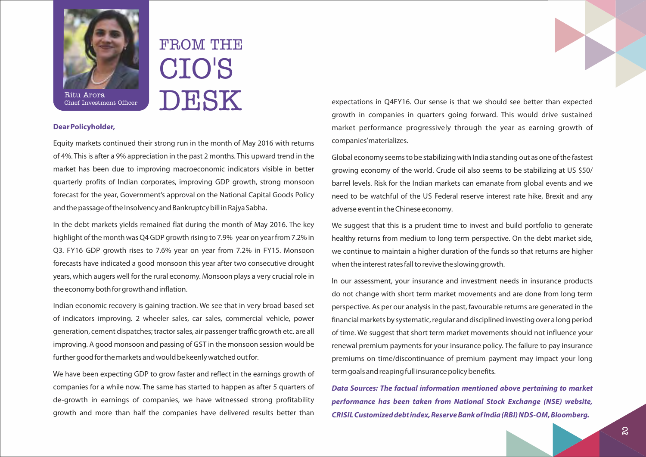

Chief Investment Officer

# FROM THE CIO'S DESK

#### **Dear Policyholder,**

Equity markets continued their strong run in the month of May 2016 with returns of 4%. This is after a 9% appreciation in the past 2 months. This upward trend in the market has been due to improving macroeconomic indicators visible in better quarterly profits of Indian corporates, improving GDP growth, strong monsoon forecast for the year, Government's approval on the National Capital Goods Policy and the passage of the Insolvency and Bankruptcy bill in Rajya Sabha.

In the debt markets yields remained flat during the month of May 2016. The key highlight of the month was Q4 GDP growth rising to 7.9% year on year from 7.2% in Q3. FY16 GDP growth rises to 7.6% year on year from 7.2% in FY15. Monsoon forecasts have indicated a good monsoon this year after two consecutive drought years, which augers well for the rural economy. Monsoon plays a very crucial role in the economy both for growth and inflation.

Indian economic recovery is gaining traction. We see that in very broad based set of indicators improving. 2 wheeler sales, car sales, commercial vehicle, power generation, cement dispatches; tractor sales, air passenger traffic growth etc. are all improving. A good monsoon and passing of GST in the monsoon session would be further good for the markets and would be keenly watched out for.

We have been expecting GDP to grow faster and reflect in the earnings growth of companies for a while now. The same has started to happen as after 5 quarters of de-growth in earnings of companies, we have witnessed strong profitability growth and more than half the companies have delivered results better than

expectations in Q4FY16. Our sense is that we should see better than expected growth in companies in quarters going forward. This would drive sustained market performance progressively through the year as earning growth of companies' materializes.

Global economy seems to be stabilizing with India standing out as one of the fastest growing economy of the world. Crude oil also seems to be stabilizing at US \$50/ barrel levels. Risk for the Indian markets can emanate from global events and we need to be watchful of the US Federal reserve interest rate hike, Brexit and any adverse event in the Chinese economy.

We suggest that this is a prudent time to invest and build portfolio to generate healthy returns from medium to long term perspective. On the debt market side, we continue to maintain a higher duration of the funds so that returns are higher when the interest rates fall to revive the slowing growth.

In our assessment, your insurance and investment needs in insurance products do not change with short term market movements and are done from long term perspective. As per our analysis in the past, favourable returns are generated in the financial markets by systematic, regular and disciplined investing over a long period of time. We suggest that short term market movements should not influence your renewal premium payments for your insurance policy. The failure to pay insurance premiums on time/discontinuance of premium payment may impact your long term goals and reaping full insurance policy benefits.

**Data Sources: The factual information mentioned above pertaining to market performance has been taken from National Stock Exchange (NSE) website, CRISIL Customized debt index, Reserve Bank of India (RBI) NDS-OM, Bloomberg.**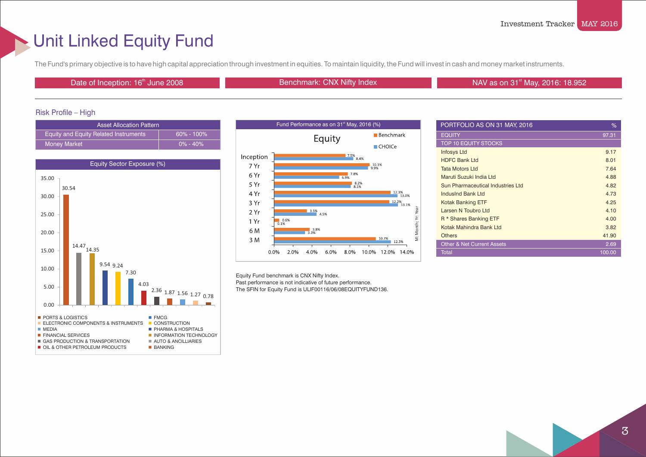# Unit Linked Equity Fund

The Fund's primary objective is to have high capital appreciation through investment in equities. To maintain liquidity, the Fund will invest in cash and money market instruments.

Date of Inception: 16<sup>th</sup> June 2008 **Benchmark: CNX Nifty Index** Benchmark: CNX Nifty Index NAV as on 31<sup>st</sup> May, 2016: 18.952

### Risk Profile – High

| <b>Asset Allocation Pattern</b>       |                |
|---------------------------------------|----------------|
| Equity and Equity Related Instruments | $60\% - 100\%$ |
| <b>Money Market</b>                   | $0\% - 40\%$   |





| PORTFOLIO AS ON 31 MAY, 2016          | %      |
|---------------------------------------|--------|
| <b>EQUITY</b>                         | 97.31  |
| <b>TOP 10 EQUITY STOCKS</b>           |        |
| <b>Infosys Ltd</b>                    | 9.17   |
| <b>HDFC Bank Ltd</b>                  | 8.01   |
| <b>Tata Motors Ltd</b>                | 7.64   |
| Maruti Suzuki India Ltd               | 4.88   |
| Sun Pharmaceutical Industries Ltd     | 4.82   |
| Indusind Bank Ltd                     | 4.73   |
| <b>Kotak Banking ETF</b>              | 4.25   |
| Larsen N Toubro Ltd                   | 4.10   |
| R <sup>*</sup> Shares Banking ETF     | 4.00   |
| Kotak Mahindra Bank Ltd               | 3.82   |
| <b>Others</b>                         | 41.90  |
| <b>Other &amp; Net Current Assets</b> | 2.69   |
| <b>Total</b>                          | 100.00 |

Equity Fund benchmark is CNX Nifty Index.

Past performance is not indicative of future performance. The SFIN for Equity Fund is ULIF00116/06/08EQUITYFUND136.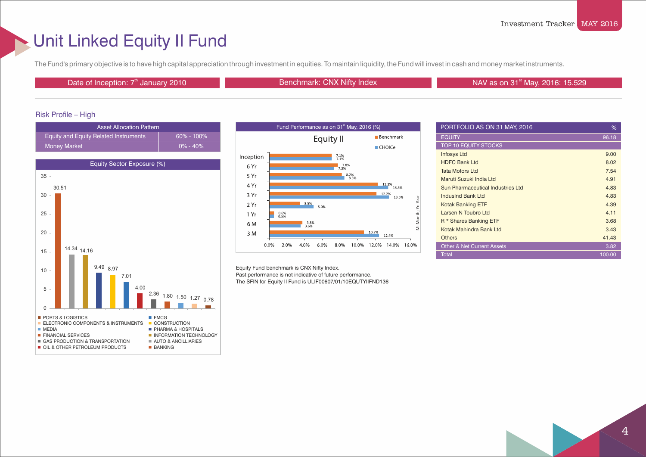# Unit Linked Equity II Fund

The Fund's primary objective is to have high capital appreciation through investment in equities. To maintain liquidity, the Fund will invest in cash and money market instruments.

Date of Inception: 7<sup>th</sup> January 2010 **Benchmark: CNX Nifty Index** State On the NAV as on 31<sup>st</sup> May, 2016: 15.529

### Risk Profile – High

| <b>Asset Allocation Pattern</b>       |                |
|---------------------------------------|----------------|
| Equity and Equity Related Instruments | $60\% - 100\%$ |
| <b>Money Market</b>                   | $10\% - 40\%$  |





| PORTFOLIO AS ON 31 MAY, 2016          | %      |
|---------------------------------------|--------|
| <b>EQUITY</b>                         | 96.18  |
| <b>TOP 10 EQUITY STOCKS</b>           |        |
| <b>Infosys Ltd</b>                    | 9.00   |
| <b>HDFC Bank Ltd</b>                  | 8.02   |
| <b>Tata Motors Ltd</b>                | 7.54   |
| Maruti Suzuki India I td              | 4.91   |
| Sun Pharmaceutical Industries Ltd     | 4.83   |
| Indusind Bank Ltd                     | 4.83   |
| <b>Kotak Banking ETF</b>              | 4.39   |
| Larsen N Toubro Ltd                   | 4 1 1  |
| R <sup>*</sup> Shares Banking ETF     | 3.68   |
| Kotak Mahindra Bank Ltd               | 3.43   |
| <b>Others</b>                         | 41.43  |
| <b>Other &amp; Net Current Assets</b> | 3.82   |
| Total                                 | 100.00 |

Equity Fund benchmark is CNX Nifty Index. Past performance is not indicative of future performance.

The SFIN for Equity II Fund is ULIF00607/01/10EQUTYIIFND136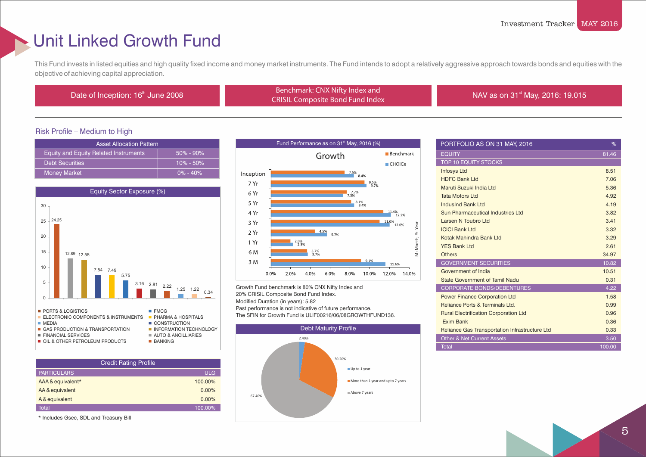## Unit Linked Growth Fund

This Fund invests in listed equities and high quality fixed income and money market instruments. The Fund intends to adopt a relatively aggressive approach towards bonds and equities with the objective of achieving capital appreciation.

th Date of Inception: 16<sup>th</sup> June 2008 Benchmark: CNX Nifty Index and<br>CRISH Composite Rand Eund Index and CRISIL Composite Bond Fund Index

NAV as on  $31<sup>st</sup>$  May, 2016: 19.015

### Risk Profile – Medium to High

| <b>Asset Allocation Pattern</b>              |               |  |
|----------------------------------------------|---------------|--|
| <b>Equity and Equity Related Instruments</b> | $50\% - 90\%$ |  |
| <b>Debt Securities</b>                       | $10\% - 50\%$ |  |
| Money Market                                 | $0\% - 40\%$  |  |



| <b>Credit Rating Profile</b> |  |  |
|------------------------------|--|--|
| <b>ULG</b>                   |  |  |
| 100.00%                      |  |  |
| $0.00\%$                     |  |  |
| 0.00%                        |  |  |
| 100.00%                      |  |  |
|                              |  |  |

\* Includes Gsec, SDL and Treasury Bill



Growth Fund benchmark is 80% CNX Nifty Index and 20% CRISIL Composite Bond Fund Index. Modified Duration (in years): 5.82 Past performance is not indicative of future performance. The SFIN for Growth Fund is ULIF00216/06/08GROWTHFUND136.



| PORTFOLIO AS ON 31 MAY, 2016                          | %      |
|-------------------------------------------------------|--------|
| <b>EQUITY</b>                                         | 81.46  |
| <b>TOP 10 EQUITY STOCKS</b>                           |        |
| <b>Infosys Ltd</b>                                    | 8.51   |
| <b>HDFC Bank Ltd</b>                                  | 7.06   |
| Maruti Suzuki India I td                              | 5.36   |
| <b>Tata Motors Ltd</b>                                | 4.92   |
| IndusInd Bank Ltd                                     | 4.19   |
| Sun Pharmaceutical Industries Ltd                     | 3.82   |
| Larsen N Toubro Ltd                                   | 3.41   |
| <b>ICICI Bank Ltd</b>                                 | 3.32   |
| Kotak Mahindra Bank Ltd                               | 3.29   |
| <b>YES Bank Ltd</b>                                   | 2.61   |
| <b>Others</b>                                         | 34.97  |
| <b>GOVERNMENT SECURITIES</b>                          | 10.82  |
| Government of India                                   | 10.51  |
| <b>State Government of Tamil Nadu</b>                 | 0.31   |
| <b>CORPORATE BONDS/DEBENTURES</b>                     | 4.22   |
| <b>Power Finance Corporation Ltd</b>                  | 1.58   |
| Reliance Ports & Terminals Ltd.                       | 0.99   |
| <b>Rural Electrification Corporation Ltd</b>          | 0.96   |
| <b>Exim Bank</b>                                      | 0.36   |
| <b>Reliance Gas Transportation Infrastructure Ltd</b> | 0.33   |
| <b>Other &amp; Net Current Assets</b>                 | 3.50   |
| <b>Total</b>                                          | 100.00 |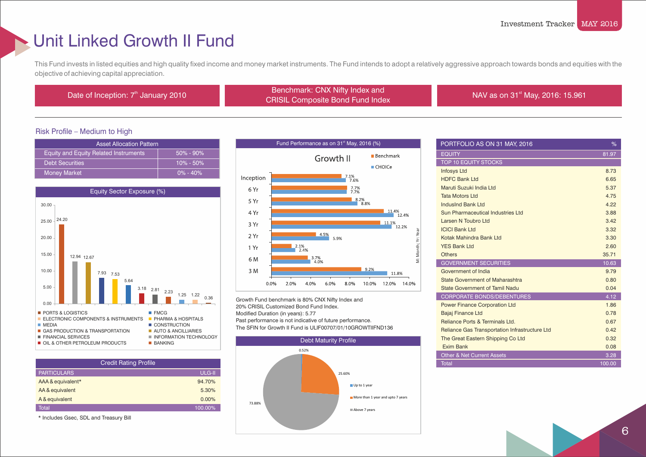# Unit Linked Growth II Fund

This Fund invests in listed equities and high quality fixed income and money market instruments. The Fund intends to adopt a relatively aggressive approach towards bonds and equities with the objective of achieving capital appreciation.

Benchmark: CNX Nifty Index and<br>Date of Inception: 7<sup>th</sup> January 2010 Benchmark: CNX Nifty Index and CRISIL Composite Bond Fund Index

NAV as on 31<sup>st</sup> May, 2016: 15.961

PORTFOLIO AS ON 31 MAY, 2016 %

### Risk Profile – Medium to High

| <b>Asset Allocation Pattern</b>              |               |  |
|----------------------------------------------|---------------|--|
| <b>Equity and Equity Related Instruments</b> | $50\% - 90\%$ |  |
| <b>Debt Securities</b>                       | $10\% - 50\%$ |  |
| <b>Money Market</b>                          | $10\% - 40\%$ |  |



| <b>Credit Rating Profile</b>        |            |
|-------------------------------------|------------|
| <b>PARTICULARS</b>                  | ULG-II     |
| AAA & equivalent*                   | 94.70%     |
| AA & equivalent                     | 5.30%      |
| A & equivalent                      | 0.00%      |
| <b>Total</b>                        | $100.00\%$ |
| .<br>$- \cdot \cdot \cdot$<br>$- -$ |            |

\* Includes Gsec, SDL and Treasury Bill



Growth Fund benchmark is 80% CNX Nifty Index and 20% CRISIL Customized Bond Fund Index. Modified Duration (in years): 5.77 Past performance is not indicative of future performance.

The SFIN for Growth II Fund is ULIF00707/01/10GROWTIIFND136



| PURTFULIU AS UN 31 MAI, 2010                          | ە⁄≺    |
|-------------------------------------------------------|--------|
| <b>EQUITY</b>                                         | 81.97  |
| <b>TOP 10 EQUITY STOCKS</b>                           |        |
| <b>Infosys Ltd</b>                                    | 8.73   |
| <b>HDFC Bank Ltd</b>                                  | 6.65   |
| Maruti Suzuki India Ltd                               | 5.37   |
| <b>Tata Motors Ltd</b>                                | 4.75   |
| IndusInd Bank Ltd                                     | 4 2 2  |
| Sun Pharmaceutical Industries Ltd                     | 3.88   |
| Larsen N Toubro Ltd                                   | 3.42   |
| <b>ICICI Bank I td.</b>                               | 3.32   |
| Kotak Mahindra Bank Ltd                               | 3.30   |
| <b>YES Bank Ltd</b>                                   | 2.60   |
| <b>Others</b>                                         | 35.71  |
| <b>GOVERNMENT SECURITIES</b>                          | 10.63  |
| Government of India                                   | 9.79   |
| State Government of Maharashtra                       | 0.80   |
| <b>State Government of Tamil Nadu</b>                 | 0.04   |
| <b>CORPORATE BONDS/DEBENTURES</b>                     | 4.12   |
| <b>Power Finance Corporation Ltd</b>                  | 1.86   |
| Bajaj Finance Ltd                                     | 0.78   |
| Reliance Ports & Terminals Ltd.                       | 0.67   |
| <b>Reliance Gas Transportation Infrastructure Ltd</b> | 0.42   |
| The Great Eastern Shipping Co Ltd                     | 0.32   |
| <b>Exim Bank</b>                                      | 0.08   |
| <b>Other &amp; Net Current Assets</b>                 | 3.28   |
| <b>Total</b>                                          | 100.00 |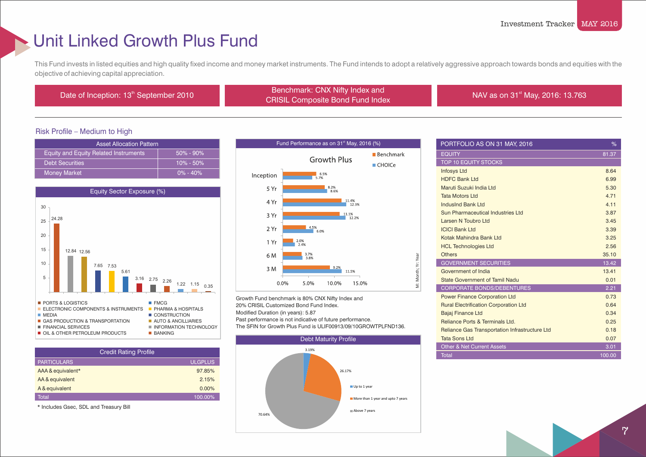## Unit Linked Growth Plus Fund

This Fund invests in listed equities and high quality fixed income and money market instruments. The Fund intends to adopt a relatively aggressive approach towards bonds and equities with the objective of achieving capital appreciation.

Benchmark: CNX Nifty Index and<br>CDICIL Composite Bond Fund Index and<br>CDICIL Composite Bond Fund Index CRISIL Composite Bond Fund Index

NAV as on 31<sup>st</sup> May, 2016: 13.763

### Risk Profile – Medium to High

| <b>Asset Allocation Pattern</b>              |               |  |
|----------------------------------------------|---------------|--|
| <b>Equity and Equity Related Instruments</b> | $50\% - 90\%$ |  |
| <b>Debt Securities</b>                       | $10\% - 50\%$ |  |
| <b>Money Market</b>                          | $0\% - 40\%$  |  |



| <b>ULGPLUS</b> |
|----------------|
|                |
| 97.85%         |
| 2.15%          |
| 0.00%          |
| 100.00%        |
|                |

\* Includes Gsec, SDL and Treasury Bill



Growth Fund benchmark is 80% CNX Nifty Index and 20% CRISIL Customized Bond Fund Index. Modified Duration (in years): 5.87 Past performance is not indicative of future performance. The SFIN for Growth Plus Fund is ULIF00913/09/10GROWTPLFND136.





| PORTFOLIO AS ON 31 MAY, 2016                   | %      |
|------------------------------------------------|--------|
| <b>EQUITY</b>                                  | 81.37  |
| <b>TOP 10 EQUITY STOCKS</b>                    |        |
| <b>Infosys Ltd</b>                             | 8.64   |
| <b>HDFC Bank Ltd</b>                           | 6.99   |
| Maruti Suzuki India Ltd                        | 5.30   |
| <b>Tata Motors Ltd</b>                         | 4.71   |
| IndusInd Bank Ltd                              | 4.11   |
| Sun Pharmaceutical Industries Ltd              | 3.87   |
| Larsen N Toubro Ltd                            | 3.45   |
| <b>ICICI Bank Ltd</b>                          | 3.39   |
| Kotak Mahindra Bank Ltd                        | 3.25   |
| <b>HCL Technologies Ltd</b>                    | 2.56   |
| <b>Others</b>                                  | 35.10  |
| <b>GOVERNMENT SECURITIES</b>                   | 13.42  |
| Government of India                            | 13.41  |
| <b>State Government of Tamil Nadu</b>          | 0.01   |
| <b>CORPORATE BONDS/DEBENTURES</b>              | 2.21   |
| <b>Power Finance Corporation Ltd</b>           | 0.73   |
| <b>Rural Electrification Corporation Ltd</b>   | 0.64   |
| <b>Bajaj Finance Ltd</b>                       | 0.34   |
| Reliance Ports & Terminals Ltd.                | 0.25   |
| Reliance Gas Transportation Infrastructure Ltd | 0.18   |
| <b>Tata Sons Ltd</b>                           | 0.07   |
| <b>Other &amp; Net Current Assets</b>          | 3.01   |
| <b>Total</b>                                   | 100.00 |

7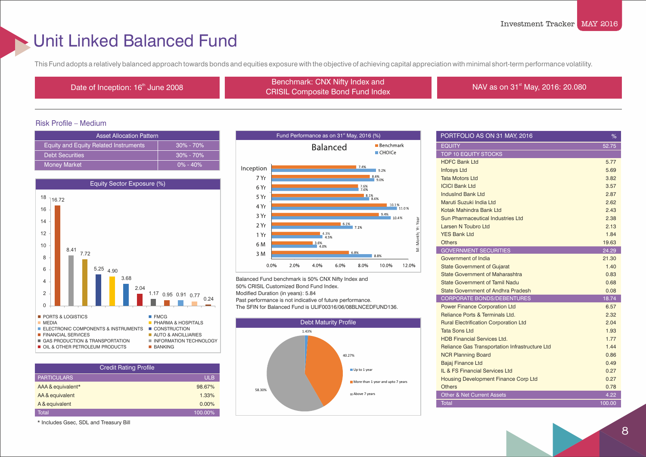### Unit Linked Balanced Fund

This Fund adopts a relatively balanced approach towards bonds and equities exposure with the objective of achieving capital appreciation with minimal short-term performance volatility.

th Date of Inception: 16<sup>th</sup> June 2008 Benchmark: CNX Nifty Index and Benchmark: CNX Nifty Index and CRISIL Composite Bond Fund Index

NAV as on 31<sup>st</sup> May, 2016: 20.080

#### Risk Profile – Medium

| <b>Asset Allocation Pattern</b>              |               |
|----------------------------------------------|---------------|
| <b>Equity and Equity Related Instruments</b> | $30\%$ - 70%  |
| Debt Securities                              | $30\% - 70\%$ |
| <b>Money Market</b>                          | $0\% - 40\%$  |



| <b>Credit Rating Profile</b> |            |
|------------------------------|------------|
| <b>PARTICULARS</b>           | <b>ULB</b> |
| AAA & equivalent*            | 98.67%     |
| AA & equivalent              | 1.33%      |
| A & equivalent               | 0.00%      |
| Total                        | 100.00%    |

\* Includes Gsec, SDL and Treasury Bill



Balanced Fund benchmark is 50% CNX Nifty Index and 50% CRISIL Customized Bond Fund Index. Modified Duration (in years): 5.84 Past performance is not indicative of future performance. The SFIN for Balanced Fund is ULIF00316/06/08BLNCEDFUND136.



| PORTFOLIO AS ON 31 MAY, 2016                   | %      |
|------------------------------------------------|--------|
| <b>EQUITY</b>                                  | 52.75  |
| <b>TOP 10 EQUITY STOCKS</b>                    |        |
| <b>HDFC Bank Ltd</b>                           | 5.77   |
| <b>Infosys Ltd</b>                             | 5.69   |
| <b>Tata Motors Ltd</b>                         | 3.82   |
| <b>ICICI Bank I td.</b>                        | 3.57   |
| IndusInd Bank Ltd                              | 2.87   |
| Maruti Suzuki India Ltd                        | 2.62   |
| Kotak Mahindra Bank Ltd                        | 2.43   |
| Sun Pharmaceutical Industries Ltd              | 2.38   |
| Larsen N Toubro Ltd                            | 2.13   |
| <b>YES Bank Ltd</b>                            | 1.84   |
| <b>Others</b>                                  | 19.63  |
| <b>GOVERNMENT SECURITIES</b>                   | 24.29  |
| Government of India                            | 21.30  |
| <b>State Government of Gujarat</b>             | 1.40   |
| State Government of Maharashtra                | 0.83   |
| State Government of Tamil Nadu                 | 0.68   |
| State Government of Andhra Pradesh             | 0.08   |
| <b>CORPORATE BONDS/DEBENTURES</b>              | 18.74  |
| <b>Power Finance Corporation Ltd</b>           | 6.57   |
| Reliance Ports & Terminals Ltd.                | 2.32   |
| <b>Rural Electrification Corporation Ltd</b>   | 2.04   |
| <b>Tata Sons Ltd</b>                           | 1.93   |
| <b>HDB Financial Services Ltd.</b>             | 1.77   |
| Reliance Gas Transportation Infrastructure Ltd | 144    |
| <b>NCR Planning Board</b>                      | 0.86   |
| <b>Bajaj Finance Ltd</b>                       | 0.49   |
| IL & FS Financial Services Ltd                 | 0.27   |
| <b>Housing Development Finance Corp Ltd</b>    | 0.27   |
| <b>Others</b>                                  | 0.78   |
| <b>Other &amp; Net Current Assets</b>          | 4.22   |
| Total                                          | 100.00 |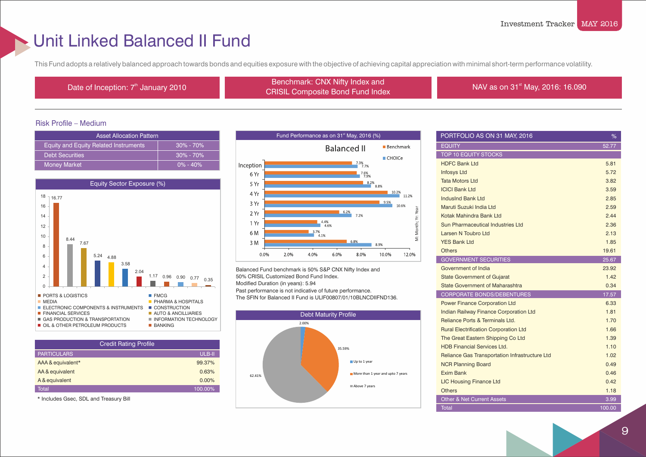### Unit Linked Balanced II Fund

This Fund adopts a relatively balanced approach towards bonds and equities exposure with the objective of achieving capital appreciation with minimal short-term performance volatility.

th Date of Inception: 7<sup>th</sup> January 2010 Benchmark: CNX Nifty Index and<br>
CHOW Contract in Results and the latter of the latter of the latter of the latter of the latter of the latter CRISIL Composite Bond Fund Index

NAV as on 31<sup>st</sup> May, 2016: 16.090

#### Risk Profile – Medium

| <b>Asset Allocation Pattern</b>              |               |  |
|----------------------------------------------|---------------|--|
| <b>Equity and Equity Related Instruments</b> | $30\% - 70\%$ |  |
| <b>Debt Securities</b>                       | $30\% - 70\%$ |  |
| <b>Money Market</b>                          | $10\% - 40\%$ |  |



| <b>Credit Rating Profile</b>     |         |
|----------------------------------|---------|
| <b>PARTICULARS</b>               | ULB-II  |
| AAA & equivalent*                | 99.37%  |
| AA & equivalent                  | 0.63%   |
| A & equivalent                   | 0.00%   |
| Total                            | 100.00% |
| * Island - All and There in Dill |         |

\* Includes Gsec, SDL and Treasury Bill



Balanced Fund benchmark is 50% S&P CNX Nifty Index and 50% CRISIL Customized Bond Fund Index. Modified Duration (in years): 5.94 Past performance is not indicative of future performance. The SFIN for Balanced II Fund is ULIF00807/01/10BLNCDIIFND136.



| PORTFOLIO AS ON 31 MAY, 2016                   | %      |
|------------------------------------------------|--------|
| <b>EQUITY</b>                                  | 52.77  |
| <b>TOP 10 EQUITY STOCKS</b>                    |        |
| <b>HDFC Bank Ltd</b>                           | 5.81   |
| <b>Infosys Ltd</b>                             | 5.72   |
| <b>Tata Motors Ltd</b>                         | 3.82   |
| <b>ICICI Bank Ltd</b>                          | 3.59   |
| IndusInd Bank Ltd                              | 2.85   |
| Maruti Suzuki India Ltd                        | 2.59   |
| Kotak Mahindra Bank Ltd                        | 244    |
| Sun Pharmaceutical Industries Ltd              | 2.36   |
| Larsen N Toubro Ltd                            | 2.13   |
| <b>YES Bank Ltd</b>                            | 1.85   |
| <b>Others</b>                                  | 19.61  |
| <b>GOVERNMENT SECURITIES</b>                   | 25.67  |
| Government of India                            | 23.92  |
| <b>State Government of Gujarat</b>             | 1.42   |
| State Government of Maharashtra                | 0.34   |
| <b>CORPORATE BONDS/DEBENTURES</b>              | 17.57  |
| <b>Power Finance Corporation Ltd</b>           | 6.33   |
| <b>Indian Railway Finance Corporation Ltd</b>  | 1.81   |
| Reliance Ports & Terminals Ltd.                | 1.70   |
| <b>Rural Electrification Corporation Ltd</b>   | 1.66   |
| The Great Eastern Shipping Co Ltd              | 1.39   |
| <b>HDB Financial Services Ltd.</b>             | 1.10   |
| Reliance Gas Transportation Infrastructure Ltd | 1.02   |
| <b>NCR Planning Board</b>                      | 0.49   |
| <b>Fxim Bank</b>                               | 0.46   |
| <b>LIC Housing Finance Ltd</b>                 | 0.42   |
| <b>Others</b>                                  | 1.18   |
| <b>Other &amp; Net Current Assets</b>          | 3.99   |
| <b>Total</b>                                   | 100.00 |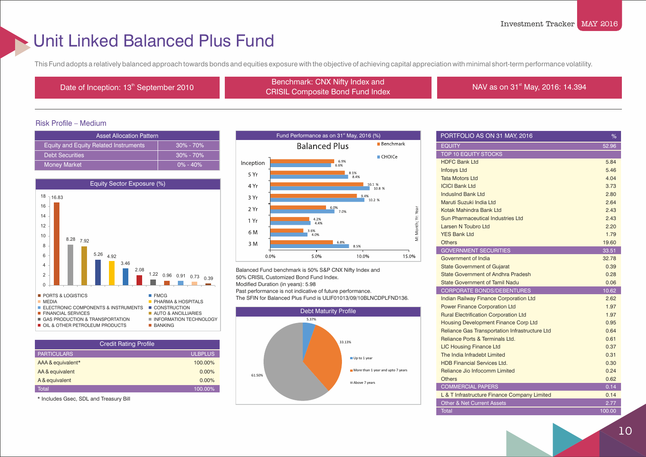### Unit Linked Balanced Plus Fund

This Fund adopts a relatively balanced approach towards bonds and equities exposure with the objective of achieving capital appreciation with minimal short-term performance volatility.

th Date of Inception: 13<sup>th</sup> September 2010 Benchmark: CNX Nifty Index and<br>CRIOW Benchmark: CNX Nifty Index and CRISIL Composite Bond Fund Index

NAV as on 31<sup>st</sup> May, 2016: 14.394

#### Risk Profile – Medium

| <b>Asset Allocation Pattern</b>              |               |  |
|----------------------------------------------|---------------|--|
| <b>Equity and Equity Related Instruments</b> | $30\% - 70\%$ |  |
| <b>Debt Securities</b>                       | $30\% - 70\%$ |  |
| <b>Money Market</b>                          | $0\% - 40\%$  |  |



| <b>Credit Rating Profile</b> |                |
|------------------------------|----------------|
| <b>PARTICULARS</b>           | <b>ULBPLUS</b> |
| AAA & equivalent*            | 100.00%        |
| AA & equivalent              | 0.00%          |
| A & equivalent               | 0.00%          |
| <b>Total</b>                 | 100.00%        |
|                              |                |

\* Includes Gsec, SDL and Treasury Bill



Balanced Fund benchmark is 50% S&P CNX Nifty Index and 50% CRISIL Customized Bond Fund Index. Modified Duration (in years): 5.98 Past performance is not indicative of future performance. The SFIN for Balanced Plus Fund is ULIF01013/09/10BLNCDPLFND136.



| PORTFOLIO AS ON 31 MAY, 2016                          | %      |
|-------------------------------------------------------|--------|
| <b>EQUITY</b>                                         | 52.96  |
| <b>TOP 10 EQUITY STOCKS</b>                           |        |
| <b>HDFC Bank Ltd</b>                                  | 5.84   |
| <b>Infosys Ltd</b>                                    | 5.46   |
| <b>Tata Motors Ltd</b>                                | 4.04   |
| <b>ICICI Bank Ltd</b>                                 | 3.73   |
| IndusInd Bank Ltd                                     | 2.80   |
| Maruti Suzuki India I td                              | 2.64   |
| Kotak Mahindra Bank Ltd                               | 2.43   |
| Sun Pharmaceutical Industries I td                    | 2.43   |
| Larsen N Toubro Ltd                                   | 2.20   |
| <b>YES Bank Ltd</b>                                   | 1.79   |
| <b>Others</b>                                         | 19.60  |
| <b>GOVERNMENT SECURITIES</b>                          | 33.51  |
| Government of India                                   | 32.78  |
| <b>State Government of Gujarat</b>                    | 0.39   |
| State Government of Andhra Pradesh                    | 0.28   |
| <b>State Government of Tamil Nadu</b>                 | 0.06   |
| <b>CORPORATE BONDS/DEBENTURES</b>                     | 10.62  |
| <b>Indian Railway Finance Corporation Ltd</b>         | 2.62   |
| <b>Power Finance Corporation Ltd</b>                  | 1.97   |
| <b>Rural Electrification Corporation Ltd</b>          | 1.97   |
| <b>Housing Development Finance Corp Ltd</b>           | 0.95   |
| <b>Reliance Gas Transportation Infrastructure Ltd</b> | 0.64   |
| Reliance Ports & Terminals Ltd.                       | 0.61   |
| <b>LIC Housing Finance Ltd</b>                        | 0.37   |
| The India Infradebt Limited                           | 0.31   |
| <b>HDB Financial Services Ltd.</b>                    | 0.30   |
| Reliance Jio Infocomm Limited                         | 0.24   |
| <b>Others</b>                                         | 0.62   |
| <b>COMMERCIAL PAPERS</b>                              | 0.14   |
| L & T Infrastructure Finance Company Limited          | 0.14   |
| <b>Other &amp; Net Current Assets</b>                 | 2.77   |
| <b>Total</b>                                          | 100.00 |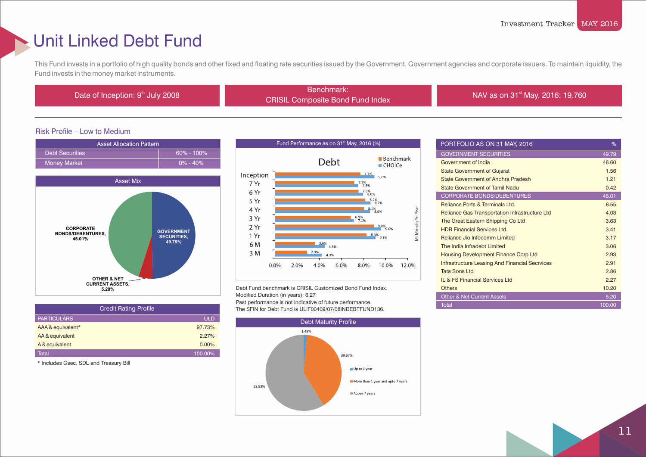### Unit Linked Debt Fund

This Fund invests in a portfolio of high quality bonds and other fixed and floating rate securities issued by the Government, Government agencies and corporate issuers. To maintain liquidity, the Fund invests in the money market instruments.

Benchmark:<br>Date of Inception: 9<sup>th</sup> July 2008 Benchmark:

CRISIL Composite Bond Fund Index

NAV as on  $31<sup>st</sup>$  May, 2016: 19.760

### Risk Profile – Low to Medium





| <b>Credit Rating Profile</b> |            |
|------------------------------|------------|
| <b>PARTICULARS</b>           | <b>ULD</b> |
| AAA & equivalent*            | 97.73%     |
| AA & equivalent              | 2.27%      |
| A & equivalent               | $0.00\%$   |
| Total                        | 100.00%    |

\* Includes Gsec, SDL and Treasury Bill



Debt Fund benchmark is CRISIL Customized Bond Fund Index. Modified Duration (in years): 6.27 Past performance is not indicative of future performance. The SFIN for Debt Fund is ULIF00409/07/08INDEBTFUND136.



| PORTFOLIO AS ON 31 MAY, 2016                          | %      |
|-------------------------------------------------------|--------|
| <b>GOVERNMENT SECURITIES</b>                          | 49.79  |
| Government of India                                   | 46.60  |
| <b>State Government of Gujarat</b>                    | 1.56   |
| State Government of Andhra Pradesh                    | 1.21   |
| <b>State Government of Tamil Nadu</b>                 | 0.42   |
| <b>CORPORATE BONDS/DEBENTURES</b>                     | 45.01  |
| <b>Reliance Ports &amp; Terminals Ltd.</b>            | 6.55   |
| Reliance Gas Transportation Infrastructure Ltd        | 4.03   |
| The Great Eastern Shipping Co Ltd                     | 3.63   |
| <b>HDB Financial Services Ltd.</b>                    | 3.41   |
| Reliance Jio Infocomm Limited                         | 3.17   |
| The India Infradebt Limited                           | 3.06   |
| <b>Housing Development Finance Corp Ltd</b>           | 2.93   |
| <b>Infrastructure Leasing And Financial Secrvices</b> | 2.91   |
| Tata Sons I td                                        | 2.86   |
| IL & FS Financial Services Ltd                        | 2.27   |
| <b>Others</b>                                         | 10.20  |
| <b>Other &amp; Net Current Assets</b>                 | 5.20   |
| <b>Total</b>                                          | 100.00 |

11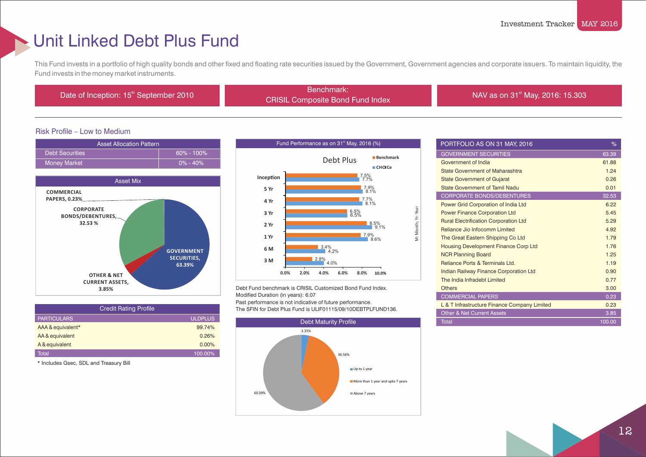## Unit Linked Debt Plus Fund

This Fund invests in a portfolio of high quality bonds and other fixed and floating rate securities issued by the Government, Government agencies and corporate issuers. To maintain liquidity, the Fund invests in the money market instruments.

Benchmark:<br>Date of Inception: 15<sup>th</sup> September 2010 Benchmark:

CRISIL Composite Bond Fund Index

NAV as on 31<sup>st</sup> May, 2016: 15.303

### Risk Profile – Low to Medium





| <b>Credit Rating Profile</b> |                |
|------------------------------|----------------|
| <b>PARTICULARS</b>           | <b>ULDPLUS</b> |
| AAA & equivalent*            | 99.74%         |
| AA & equivalent              | 0.26%          |
| A & equivalent               | 0.00%          |
| Total                        | 100.00%        |

\* Includes Gsec, SDL and Treasury Bill



Debt Fund benchmark is CRISIL Customized Bond Fund Index. Modified Duration (in years): 6.07 Past performance is not indicative of future performance.

The SFIN for Debt Plus Fund is ULIF01115/09/10DEBTPLFUND136.



| PORTFOLIO AS ON 31 MAY, 2016                  | %      |
|-----------------------------------------------|--------|
| <b>GOVERNMENT SECURITIES</b>                  | 63.39  |
| Government of India                           | 61.88  |
| State Government of Maharashtra               | 1.24   |
| <b>State Government of Gujarat</b>            | 0.26   |
| <b>State Government of Tamil Nadu</b>         | 0.01   |
| <b>CORPORATE BONDS/DEBENTURES</b>             | 32.53  |
| Power Grid Corporation of India Ltd           | 6.22   |
| <b>Power Finance Corporation Ltd</b>          | 5.45   |
| <b>Rural Electrification Corporation Ltd</b>  | 5.29   |
| Reliance Jio Infocomm Limited                 | 4.92   |
| The Great Eastern Shipping Co Ltd             | 1.79   |
| <b>Housing Development Finance Corp Ltd</b>   | 1.76   |
| <b>NCR Planning Board</b>                     | 1.25   |
| Reliance Ports & Terminals Ltd.               | 1.19   |
| <b>Indian Railway Finance Corporation Ltd</b> | 0.90   |
| The India Infradebt Limited                   | 0.77   |
| <b>Others</b>                                 | 3.00   |
| <b>COMMERCIAL PAPERS</b>                      | 0.23   |
| L & T Infrastructure Finance Company Limited  | 0.23   |
| <b>Other &amp; Net Current Assets</b>         | 3.85   |
| <b>Total</b>                                  | 100.00 |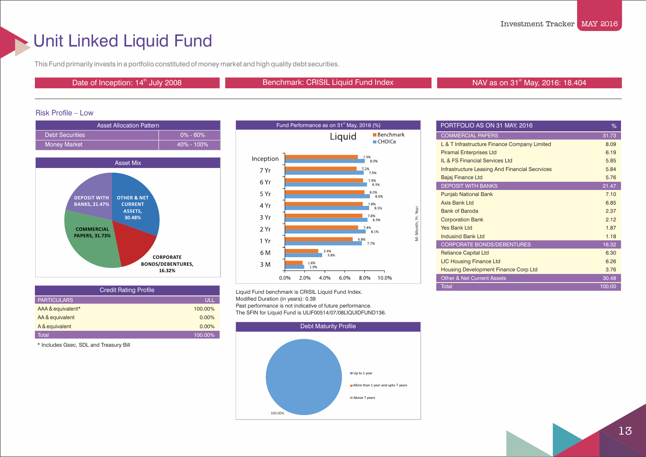### Unit Linked Liquid Fund

This Fund primarily invests in a portfolio constituted of money market and high quality debt securities.

Date of Inception: 14<sup>th</sup> July 2008 **Benchmark: CRISIL Liquid Fund Index** NAV as on 31<sup>st</sup> May, 2016: 18.404

PORTFOLIO AS ON 31 MAY, 2016 %

#### Risk Profile – Low



![](_page_13_Figure_8.jpeg)

| <b>Credit Rating Profile</b> |          | Liquid Fund benchmark is CRISIL Liquid Fund Index.                                                                     | <b>Total</b> |
|------------------------------|----------|------------------------------------------------------------------------------------------------------------------------|--------------|
| <b>PARTICULARS</b>           | ULL      | Modified Duration (in years): 0.39                                                                                     |              |
| AAA & equivalent*            | 100.00%  | Past performance is not indicative of future performance.<br>The SFIN for Liquid Fund is ULIF00514/07/08LIQUIDFUND136. |              |
| AA & equivalent              | $0.00\%$ |                                                                                                                        |              |
| A & equivalent               | 0.00%    | <b>Debt Maturity Profile</b>                                                                                           |              |
| Total                        | 100.00%  |                                                                                                                        |              |

\* Includes Gsec, SDL and Treasury Bill

![](_page_13_Figure_11.jpeg)

![](_page_13_Figure_13.jpeg)

| FUNIFULIU AO UN 01 MAI, 2010                          | 70     |
|-------------------------------------------------------|--------|
| <b>COMMERCIAL PAPERS</b>                              | 31.73  |
| L & T Infrastructure Finance Company Limited          | 8.09   |
| <b>Piramal Enterprises Ltd</b>                        | 6.19   |
| <b>IL &amp; FS Financial Services Ltd</b>             | 5.85   |
| <b>Infrastructure Leasing And Financial Secrvices</b> | 5.84   |
| Bajaj Finance Ltd                                     | 5.76   |
| <b>DEPOSIT WITH BANKS</b>                             | 21.47  |
| <b>Punjab National Bank</b>                           | 7.10   |
| Axis Bank Ltd                                         | 6.85   |
| <b>Bank of Baroda</b>                                 | 2.37   |
| <b>Corporation Bank</b>                               | 2.12   |
| Yes Bank I td                                         | 1.87   |
| <b>Indusind Bank Ltd</b>                              | 1.18   |
| <b>CORPORATE BONDS/DEBENTURES</b>                     | 16.32  |
| <b>Reliance Capital Ltd</b>                           | 6.30   |
| <b>LIC Housing Finance Ltd</b>                        | 6.26   |
| <b>Housing Development Finance Corp Ltd</b>           | 3.76   |
| <b>Other &amp; Net Current Assets</b>                 | 30.48  |
| <b>Total</b>                                          | 100.00 |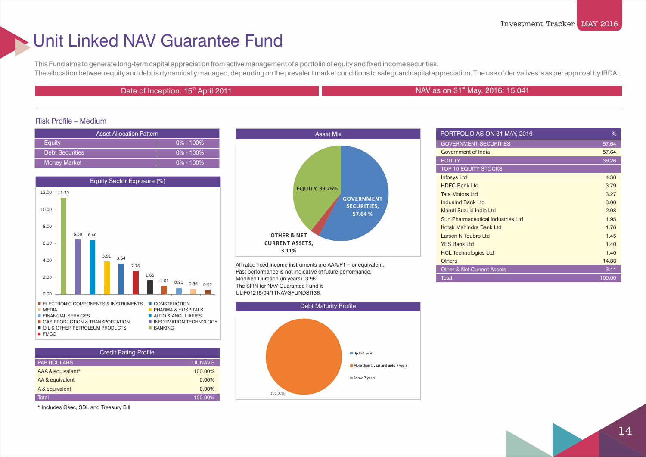### Unit Linked NAV Guarantee Fund

This Fund aims to generate long-term capital appreciation from active management of a portfolio of equity and fixed income securities. The allocation between equity and debt is dynamically managed, depending on the prevalent market conditions to safeguard capital appreciation. The use of derivatives is as per approval by IRDAI.

#### Date of Inception:  $15<sup>th</sup>$  April 2011 state of Inception: 15<sup>th</sup> April 2011 st NAV as on 31<sup>st</sup> May, 2016: 15.041

#### Risk Profile – Medium

| <b>Asset Allocation Pattern</b> |               |  |
|---------------------------------|---------------|--|
| Equity                          | $0\% - 100\%$ |  |
| <b>Debt Securities</b>          | $0\% - 100\%$ |  |
| Money Market                    | $0\% - 100\%$ |  |

![](_page_14_Figure_7.jpeg)

| <b>Credit Rating Profile</b> |                |
|------------------------------|----------------|
| <b>PARTICULARS</b>           | <b>UL-NAVG</b> |
| AAA & equivalent*            | 100.00%        |
| AA & equivalent              | $0.00\%$       |
| A & equivalent               | 0.00%          |
| Total                        | 100.00%        |

\* Includes Gsec, SDL and Treasury Bill

![](_page_14_Figure_10.jpeg)

All rated fixed income instruments are AAA/P1+ or equivalent. Past performance is not indicative of future performance. Modified Duration (in years): 3.96 The SFIN for NAV Guarantee Fund is ULIF01215/04/11NAVGFUNDSI136.

![](_page_14_Figure_12.jpeg)

| PORTFOLIO AS ON 31 MAY, 2016          | %      |
|---------------------------------------|--------|
| <b>GOVERNMENT SECURITIES</b>          | 57.64  |
| Government of India                   | 57.64  |
| <b>EQUITY</b>                         | 39.26  |
| <b>TOP 10 EQUITY STOCKS</b>           |        |
| <b>Infosys Ltd</b>                    | 4.30   |
| <b>HDFC Bank Ltd</b>                  | 3.79   |
| <b>Tata Motors Ltd</b>                | 3.27   |
| IndusInd Bank Ltd                     | 3.00   |
| Maruti Suzuki India Ltd               | 2.08   |
| Sun Pharmaceutical Industries Ltd     | 1.95   |
| Kotak Mahindra Bank Ltd               | 1.76   |
| Larsen N Toubro Ltd                   | 1.45   |
| <b>YES Bank Ltd</b>                   | 1.40   |
| <b>HCL Technologies Ltd</b>           | 1.40   |
| <b>Others</b>                         | 14.88  |
| <b>Other &amp; Net Current Assets</b> | 3.11   |
| <b>Total</b>                          | 100.00 |